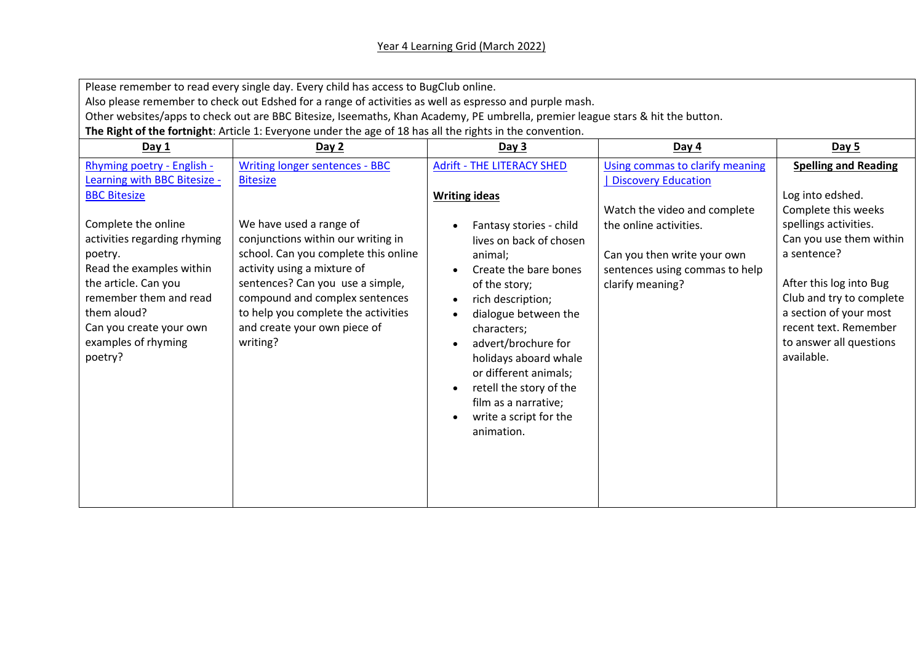## Year 4 Learning Grid (March 2022)

Please remember to read every single day. Every child has access to BugClub online.

Also please remember to check out Edshed for a range of activities as well as espresso and purple mash.

Other websites/apps to check out are BBC Bitesize, Iseemaths, Khan Academy, PE umbrella, premier league stars & hit the button.

**The Right of the fortnight**: Article 1: Everyone under the age of 18 has all the rights in the convention.

| Day 1                                                                                                                                                                                                                    | Day 2                                                                                                                                                                                                                                                                                         | Day 3                                                                                                                                                                                                                                                                                                                                   | Day $4$                                                                                                                                     | Day 5                                                                                                                                                                                                                                     |
|--------------------------------------------------------------------------------------------------------------------------------------------------------------------------------------------------------------------------|-----------------------------------------------------------------------------------------------------------------------------------------------------------------------------------------------------------------------------------------------------------------------------------------------|-----------------------------------------------------------------------------------------------------------------------------------------------------------------------------------------------------------------------------------------------------------------------------------------------------------------------------------------|---------------------------------------------------------------------------------------------------------------------------------------------|-------------------------------------------------------------------------------------------------------------------------------------------------------------------------------------------------------------------------------------------|
| Rhyming poetry - English -<br>Learning with BBC Bitesize -<br><b>BBC Bitesize</b>                                                                                                                                        | <b>Writing longer sentences - BBC</b><br><b>Bitesize</b>                                                                                                                                                                                                                                      | <b>Adrift - THE LITERACY SHED</b><br><b>Writing ideas</b>                                                                                                                                                                                                                                                                               | Using commas to clarify meaning<br>Discovery Education                                                                                      | <b>Spelling and Reading</b><br>Log into edshed.                                                                                                                                                                                           |
| Complete the online<br>activities regarding rhyming<br>poetry.<br>Read the examples within<br>the article. Can you<br>remember them and read<br>them aloud?<br>Can you create your own<br>examples of rhyming<br>poetry? | We have used a range of<br>conjunctions within our writing in<br>school. Can you complete this online<br>activity using a mixture of<br>sentences? Can you use a simple,<br>compound and complex sentences<br>to help you complete the activities<br>and create your own piece of<br>writing? | Fantasy stories - child<br>lives on back of chosen<br>animal;<br>Create the bare bones<br>of the story;<br>rich description;<br>dialogue between the<br>characters;<br>advert/brochure for<br>holidays aboard whale<br>or different animals;<br>retell the story of the<br>film as a narrative;<br>write a script for the<br>animation. | Watch the video and complete<br>the online activities.<br>Can you then write your own<br>sentences using commas to help<br>clarify meaning? | Complete this weeks<br>spellings activities.<br>Can you use them within<br>a sentence?<br>After this log into Bug<br>Club and try to complete<br>a section of your most<br>recent text. Remember<br>to answer all questions<br>available. |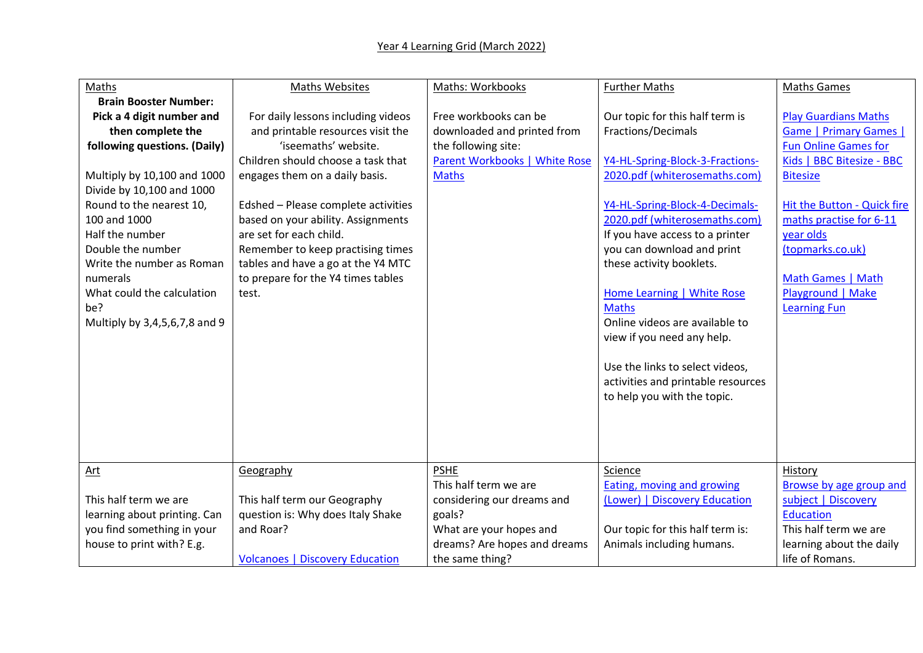## Year 4 Learning Grid (March 2022)

| Maths                         | <b>Maths Websites</b>                  | <b>Maths: Workbooks</b>       | <b>Further Maths</b>                         | <b>Maths Games</b>                          |
|-------------------------------|----------------------------------------|-------------------------------|----------------------------------------------|---------------------------------------------|
| <b>Brain Booster Number:</b>  |                                        |                               |                                              |                                             |
| Pick a 4 digit number and     | For daily lessons including videos     | Free workbooks can be         | Our topic for this half term is              | <b>Play Guardians Maths</b>                 |
| then complete the             | and printable resources visit the      | downloaded and printed from   | <b>Fractions/Decimals</b>                    | <b>Game   Primary Games  </b>               |
| following questions. (Daily)  | 'iseemaths' website.                   | the following site:           |                                              | <b>Fun Online Games for</b>                 |
|                               | Children should choose a task that     | Parent Workbooks   White Rose | Y4-HL-Spring-Block-3-Fractions-              | Kids   BBC Bitesize - BBC                   |
| Multiply by 10,100 and 1000   | engages them on a daily basis.         | <b>Maths</b>                  | 2020.pdf (whiterosemaths.com)                | <b>Bitesize</b>                             |
| Divide by 10,100 and 1000     |                                        |                               |                                              |                                             |
| Round to the nearest 10,      | Edshed - Please complete activities    |                               | Y4-HL-Spring-Block-4-Decimals-               | Hit the Button - Quick fire                 |
| 100 and 1000                  | based on your ability. Assignments     |                               | 2020.pdf (whiterosemaths.com)                | maths practise for 6-11                     |
| Half the number               | are set for each child.                |                               | If you have access to a printer              | year olds                                   |
| Double the number             | Remember to keep practising times      |                               | you can download and print                   | (topmarks.co.uk)                            |
| Write the number as Roman     | tables and have a go at the Y4 MTC     |                               | these activity booklets.                     |                                             |
| numerals                      | to prepare for the Y4 times tables     |                               |                                              | Math Games   Math                           |
| What could the calculation    | test.                                  |                               | <b>Home Learning   White Rose</b>            | Playground   Make                           |
| be?                           |                                        |                               | <b>Maths</b>                                 | <b>Learning Fun</b>                         |
| Multiply by 3,4,5,6,7,8 and 9 |                                        |                               | Online videos are available to               |                                             |
|                               |                                        |                               | view if you need any help.                   |                                             |
|                               |                                        |                               |                                              |                                             |
|                               |                                        |                               | Use the links to select videos,              |                                             |
|                               |                                        |                               | activities and printable resources           |                                             |
|                               |                                        |                               | to help you with the topic.                  |                                             |
|                               |                                        |                               |                                              |                                             |
|                               |                                        |                               |                                              |                                             |
|                               |                                        |                               |                                              |                                             |
|                               |                                        | <b>PSHE</b>                   |                                              |                                             |
| Art                           | Geography                              | This half term we are         | Science<br><b>Eating, moving and growing</b> | History<br>Browse by age group and          |
| This half term we are         | This half term our Geography           | considering our dreams and    | (Lower)   Discovery Education                | subject   Discovery                         |
| learning about printing. Can  | question is: Why does Italy Shake      | goals?                        |                                              | <b>Education</b>                            |
| you find something in your    | and Roar?                              | What are your hopes and       | Our topic for this half term is:             | This half term we are                       |
|                               |                                        | dreams? Are hopes and dreams  |                                              |                                             |
| house to print with? E.g.     | <b>Volcanoes   Discovery Education</b> |                               | Animals including humans.                    | learning about the daily<br>life of Romans. |
|                               |                                        | the same thing?               |                                              |                                             |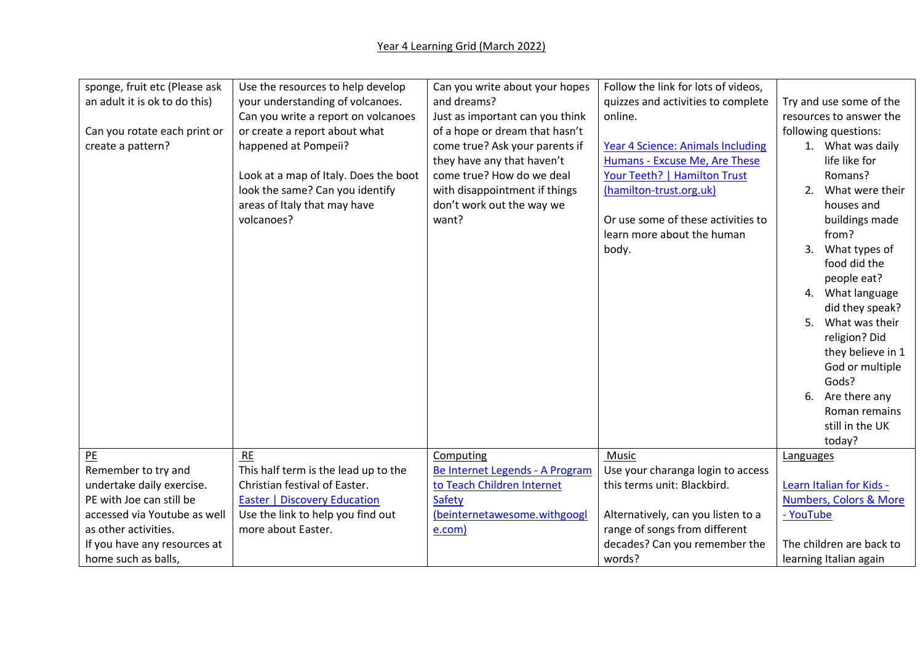| sponge, fruit etc (Please ask | Use the resources to help develop     | Can you write about your hopes  | Follow the link for lots of videos,      |                                   |
|-------------------------------|---------------------------------------|---------------------------------|------------------------------------------|-----------------------------------|
| an adult it is ok to do this) | your understanding of volcanoes.      | and dreams?                     | quizzes and activities to complete       | Try and use some of the           |
|                               | Can you write a report on volcanoes   | Just as important can you think | online.                                  | resources to answer the           |
| Can you rotate each print or  | or create a report about what         | of a hope or dream that hasn't  |                                          | following questions:              |
| create a pattern?             | happened at Pompeii?                  | come true? Ask your parents if  | <b>Year 4 Science: Animals Including</b> | 1. What was daily                 |
|                               |                                       | they have any that haven't      | Humans - Excuse Me, Are These            | life like for                     |
|                               | Look at a map of Italy. Does the boot | come true? How do we deal       | Your Teeth?   Hamilton Trust             | Romans?                           |
|                               | look the same? Can you identify       | with disappointment if things   | (hamilton-trust.org.uk)                  | What were their<br>2.             |
|                               | areas of Italy that may have          | don't work out the way we       |                                          | houses and                        |
|                               | volcanoes?                            | want?                           | Or use some of these activities to       | buildings made                    |
|                               |                                       |                                 | learn more about the human               | from?                             |
|                               |                                       |                                 | body.                                    | 3.<br>What types of               |
|                               |                                       |                                 |                                          | food did the                      |
|                               |                                       |                                 |                                          | people eat?                       |
|                               |                                       |                                 |                                          | 4. What language                  |
|                               |                                       |                                 |                                          | did they speak?                   |
|                               |                                       |                                 |                                          | 5. What was their                 |
|                               |                                       |                                 |                                          | religion? Did                     |
|                               |                                       |                                 |                                          | they believe in 1                 |
|                               |                                       |                                 |                                          | God or multiple                   |
|                               |                                       |                                 |                                          | Gods?                             |
|                               |                                       |                                 |                                          | 6. Are there any                  |
|                               |                                       |                                 |                                          | Roman remains                     |
|                               |                                       |                                 |                                          | still in the UK                   |
|                               |                                       |                                 |                                          | today?                            |
| P <sub>E</sub>                | RE                                    | Computing                       | Music                                    | Languages                         |
| Remember to try and           | This half term is the lead up to the  | Be Internet Legends - A Program | Use your charanga login to access        |                                   |
| undertake daily exercise.     | Christian festival of Easter.         | to Teach Children Internet      | this terms unit: Blackbird.              | Learn Italian for Kids -          |
| PE with Joe can still be      | <b>Easter   Discovery Education</b>   | Safety                          |                                          | <b>Numbers, Colors &amp; More</b> |
| accessed via Youtube as well  | Use the link to help you find out     | (beinternetawesome.withgoogl    | Alternatively, can you listen to a       | - YouTube                         |
| as other activities.          | more about Easter.                    | e.com)                          | range of songs from different            |                                   |
| If you have any resources at  |                                       |                                 | decades? Can you remember the            | The children are back to          |
| home such as balls,           |                                       |                                 | words?                                   | learning Italian again            |